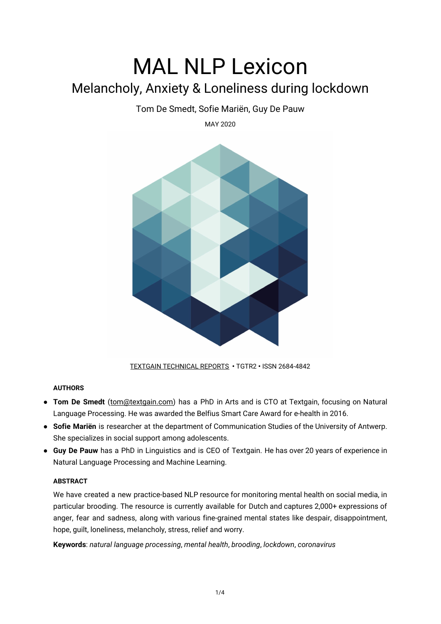# MAL NLP Lexicon Melancholy, Anxiety & Loneliness during lockdown

# Tom De Smedt, Sofie Mariën, Guy De Pauw

MAY 2020



[TEXTGAIN TECHNICAL REPORTS](https://textgain.com/resources) **•** TGTR2 **•** ISSN 2684-4842

# **AUTHORS**

- **Tom De Smedt** [\(tom@textgain.com\)](mailto:tom@textgain.com) has a PhD in Arts and is CTO at Textgain, focusing on Natural Language Processing. He was awarded the Belfius Smart Care Award for e-health in 2016.
- **Sofie Mariën** is researcher at the department of Communication Studies of the University of Antwerp. She specializes in social support among adolescents.
- **Guy De Pauw** has a PhD in Linguistics and is CEO of Textgain. He has over 20 years of experience in Natural Language Processing and Machine Learning.

## **ABSTRACT**

We have created a new practice-based NLP resource for monitoring mental health on social media, in particular brooding. The resource is currently available for Dutch and captures 2,000+ expressions of anger, fear and sadness, along with various fine-grained mental states like despair, disappointment, hope, guilt, loneliness, melancholy, stress, relief and worry.

**Keywords**: *natural language processing*, *mental health*, *brooding*, *lockdown*, *coronavirus*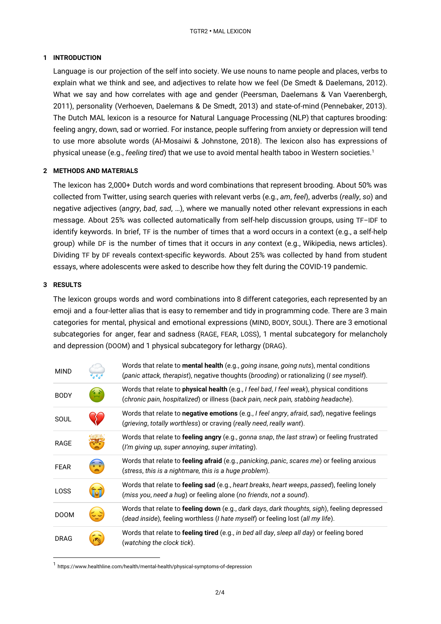## **1 INTRODUCTION**

Language is our projection of the self into society. We use nouns to name people and places, verbs to explain what we think and see, and adjectives to relate how we feel (De Smedt & Daelemans, 2012). What we say and how correlates with age and gender (Peersman, Daelemans & Van Vaerenbergh, 2011), personality (Verhoeven, Daelemans & De Smedt, 2013) and state-of-mind (Pennebaker, 2013). The Dutch MAL lexicon is a resource for Natural Language Processing (NLP) that captures brooding: feeling angry, down, sad or worried. For instance, people suffering from anxiety or depression will tend to use more absolute words (Al-Mosaiwi & Johnstone, 2018). The lexicon also has expressions of physical unease (e.g., *feeling tired*) that we use to avoid mental health taboo in Western societies. 1

#### **2 METHODS AND MATERIALS**

The lexicon has 2,000+ Dutch words and word combinations that represent brooding. About 50% was collected from Twitter, using search queries with relevant verbs (e.g., *am*, *feel*), adverbs (*really*, *so*) and negative adjectives (*angry*, *bad*, *sad*, …), where we manually noted other relevant expressions in each message. About 25% was collected automatically from self-help discussion groups, using TF–IDF to identify keywords. In brief, TF is the number of times that a word occurs in a context (e.g., a self-help group) while DF is the number of times that it occurs in *any* context (e.g., Wikipedia, news articles). Dividing TF by DF reveals context-specific keywords. About 25% was collected by hand from student essays, where adolescents were asked to describe how they felt during the COVID-19 pandemic.

#### **3 RESULTS**

The lexicon groups words and word combinations into 8 different categories, each represented by an emoji and a four-letter alias that is easy to remember and tidy in programming code. There are 3 main categories for mental, physical and emotional expressions (MIND, BODY, SOUL). There are 3 emotional subcategories for anger, fear and sadness (RAGE, FEAR, LOSS), 1 mental subcategory for melancholy and depression (DOOM) and 1 physical subcategory for lethargy (DRAG).

| <b>MIND</b> |                                                             | Words that relate to mental health (e.g., going insane, going nuts), mental conditions<br>(panic attack, therapist), negative thoughts (brooding) or rationalizing (I see myself). |
|-------------|-------------------------------------------------------------|------------------------------------------------------------------------------------------------------------------------------------------------------------------------------------|
| <b>BODY</b> | Ao2                                                         | Words that relate to physical health (e.g., I feel bad, I feel weak), physical conditions<br>(chronic pain, hospitalized) or illness (back pain, neck pain, stabbing headache).    |
| SOUL        |                                                             | Words that relate to negative emotions (e.g., I feel angry, afraid, sad), negative feelings<br>(grieving, totally worthless) or craving (really need, really want).                |
| <b>RAGE</b> |                                                             | Words that relate to feeling angry (e.g., gonna snap, the last straw) or feeling frustrated<br>(I'm giving up, super annoying, super irritating).                                  |
| <b>FEAR</b> | $\left( \begin{matrix} 0 & 0 \\ 0 & 0 \end{matrix} \right)$ | Words that relate to feeling afraid (e.g., panicking, panic, scares me) or feeling anxious<br>(stress, this is a nightmare, this is a huge problem).                               |
| LOSS        | fat                                                         | Words that relate to feeling sad (e.g., heart breaks, heart weeps, passed), feeling lonely<br>(miss you, need a hug) or feeling alone (no friends, not a sound).                   |
| <b>DOOM</b> |                                                             | Words that relate to feeling down (e.g., dark days, dark thoughts, sigh), feeling depressed<br>(dead inside), feeling worthless (I hate myself) or feeling lost (all my life).     |
| <b>DRAG</b> |                                                             | Words that relate to <b>feeling tired</b> (e.g., in bed all day, sleep all day) or feeling bored<br>(watching the clock tick).                                                     |

<sup>1</sup> https://www.healthline.com/health/mental-health/physical-symptoms-of-depression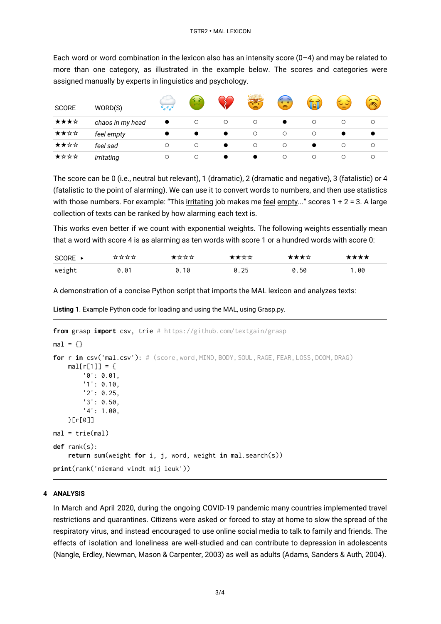Each word or word combination in the lexicon also has an intensity score  $(0-4)$  and may be related to more than one category, as illustrated in the example below. The scores and categories were assigned manually by experts in linguistics and psychology.

| <b>SCORE</b> | WORD(S)          | $\overline{\phantom{a}}$ | $\frac{1}{2}$ |   |         | ×       | far     | ここ      | (PA)    |
|--------------|------------------|--------------------------|---------------|---|---------|---------|---------|---------|---------|
| ★★★☆         | chaos in my head | $\bullet$                | $\circ$       | О | $\circ$ |         | $\circ$ |         | $\circ$ |
| ★★☆☆         | feel empty       |                          |               |   | $\circ$ | $\circ$ | $\circ$ |         |         |
| ★★☆☆         | feel sad         | О                        | $\circ$       |   | O       | $\circ$ |         | $\circ$ | $\circ$ |
| ★☆☆☆         | irritating       | О                        | $\circ$       |   |         | $\circ$ | $\circ$ | ◯       | ∩       |

The score can be 0 (i.e., neutral but relevant), 1 (dramatic), 2 (dramatic and negative), 3 (fatalistic) or 4 (fatalistic to the point of alarming). We can use it to convert words to numbers, and then use statistics with those numbers. For example: "This irritating job makes me feel empty..." scores 1 + 2 = 3. A large collection of texts can be ranked by how alarming each text is.

This works even better if we count with exponential weights. The following weights essentially mean that a word with score 4 is as alarming as ten words with score 1 or a hundred words with score 0:

| $SCORE \rightarrow$ | **** | ★☆☆☆ | ★★☆☆ | ★★★☆ | **** |
|---------------------|------|------|------|------|------|
| weight              | 0.01 | 0.10 | 0.25 | 0.50 | 1.00 |

A demonstration of a concise Python script that imports the MAL lexicon and analyzes texts:

**Listing 1**. Example Python code for loading and using the MAL, using Grasp.py.

```
from grasp import csv, trie # https://github.com/textgain/grasp
mal = \{\}for r in csv('mal.csv'): # (score, word, MIND,BODY,SOUL,RAGE,FEAR, LOSS, DOOM, DRAG)
    mal[r[1]] = {'0': 0.01,
        '1': 0.10,
        '2': 0.25,
        '3': 0.50,
        '4': 1.00,
    }[r[0]]
mal = trie(mal)def rank(s):
    return sum(weight for i, j, word, weight in mal.search(s))
print(rank('niemand vindt mij leuk'))
```
#### **4 ANALYSIS**

In March and April 2020, during the ongoing COVID-19 pandemic many countries implemented travel restrictions and quarantines. Citizens were asked or forced to stay at home to slow the spread of the respiratory virus, and instead encouraged to use online social media to talk to family and friends. The effects of isolation and loneliness are well-studied and can contribute to depression in adolescents (Nangle, Erdley, Newman, Mason & Carpenter, 2003) as well as adults (Adams, Sanders & Auth, 2004).